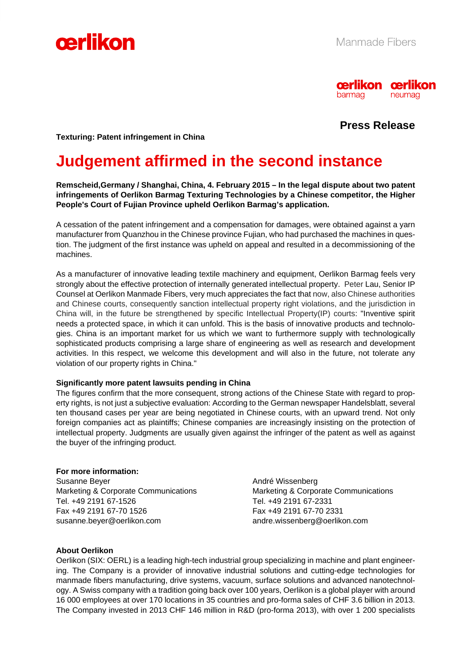



# **Press Release**

**Texturing: Patent infringement in China** 

# **Judgement affirmed in the second instance**

**Remscheid,Germany / Shanghai, China, 4. February 2015 – In the legal dispute about two patent infringements of Oerlikon Barmag Texturing Technologies by a Chinese competitor, the Higher People's Court of Fujian Province upheld Oerlikon Barmag's application.** 

A cessation of the patent infringement and a compensation for damages, were obtained against a yarn manufacturer from Quanzhou in the Chinese province Fujian, who had purchased the machines in question. The judgment of the first instance was upheld on appeal and resulted in a decommissioning of the machines.

As a manufacturer of innovative leading textile machinery and equipment, Oerlikon Barmag feels very strongly about the effective protection of internally generated intellectual property. Peter Lau, Senior IP Counsel at Oerlikon Manmade Fibers, very much appreciates the fact that now, also Chinese authorities and Chinese courts, consequently sanction intellectual property right violations, and the jurisdiction in China will, in the future be strengthened by specific Intellectual Property(IP) courts: "Inventive spirit needs a protected space, in which it can unfold. This is the basis of innovative products and technologies. China is an important market for us which we want to furthermore supply with technologically sophisticated products comprising a large share of engineering as well as research and development activities. In this respect, we welcome this development and will also in the future, not tolerate any violation of our property rights in China."

#### **Significantly more patent lawsuits pending in China**

The figures confirm that the more consequent, strong actions of the Chinese State with regard to property rights, is not just a subjective evaluation: According to the German newspaper Handelsblatt, several ten thousand cases per year are being negotiated in Chinese courts, with an upward trend. Not only foreign companies act as plaintiffs; Chinese companies are increasingly insisting on the protection of intellectual property. Judgments are usually given against the infringer of the patent as well as against the buyer of the infringing product.

#### **For more information:**

Susanne Beyer **André Wissenberg** André Wissenberg Tel. +49 2191 67-1526 Tel. +49 2191 67-2331 Fax +49 2191 67-70 1526 Fax +49 2191 67-70 2331 susanne.beyer@oerlikon.com andre.wissenberg@oerlikon.com

Marketing & Corporate Communications Marketing & Corporate Communications

## **About Oerlikon**

Oerlikon (SIX: OERL) is a leading high-tech industrial group specializing in machine and plant engineering. The Company is a provider of innovative industrial solutions and cutting-edge technologies for manmade fibers manufacturing, drive systems, vacuum, surface solutions and advanced nanotechnology. A Swiss company with a tradition going back over 100 years, Oerlikon is a global player with around 16 000 employees at over 170 locations in 35 countries and pro-forma sales of CHF 3.6 billion in 2013. The Company invested in 2013 CHF 146 million in R&D (pro-forma 2013), with over 1 200 specialists